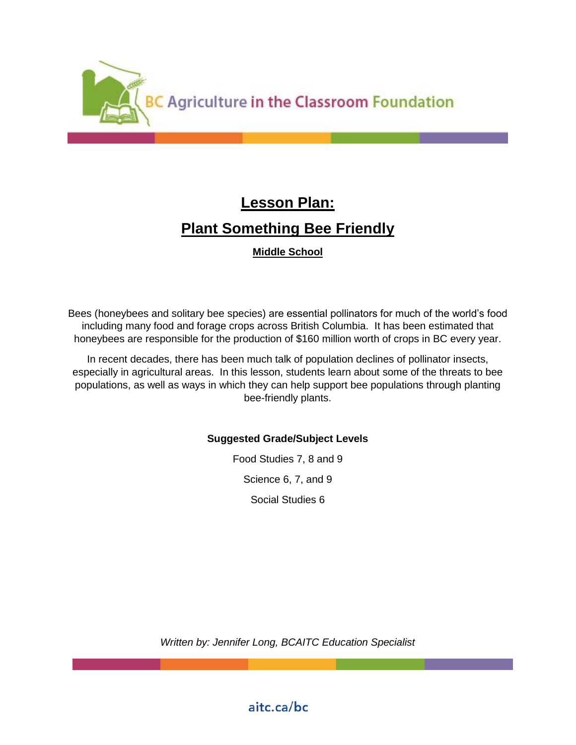

# **Lesson Plan: Plant Something Bee Friendly**

**Middle School** 

Bees (honeybees and solitary bee species) are essential pollinators for much of the world's food including many food and forage crops across British Columbia. It has been estimated that honeybees are responsible for the production of \$160 million worth of crops in BC every year.

In recent decades, there has been much talk of population declines of pollinator insects, especially in agricultural areas. In this lesson, students learn about some of the threats to bee populations, as well as ways in which they can help support bee populations through planting bee-friendly plants.

## **Suggested Grade/Subject Levels**

Food Studies 7, 8 and 9 Science 6, 7, and 9 Social Studies 6

*Written by: Jennifer Long, BCAITC Education Specialist*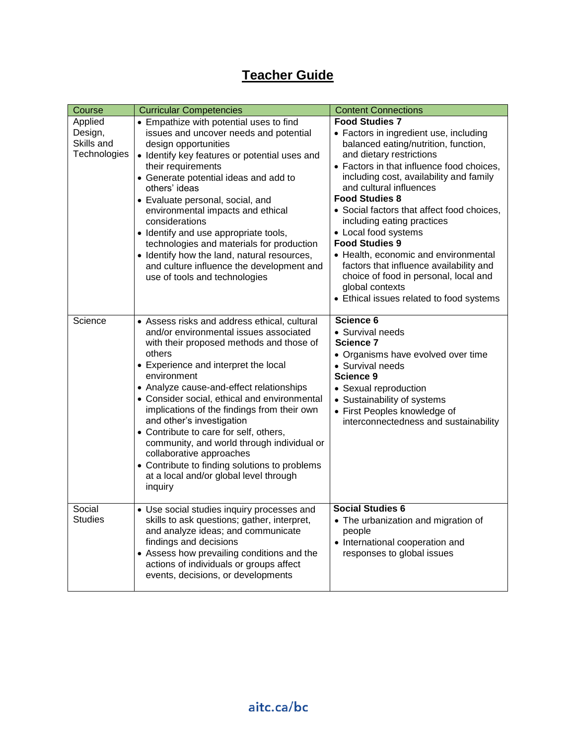## **Teacher Guide**

| Course                                           | <b>Curricular Competencies</b>                                                                                                                                                                                                                                                                                                                                                                                                                                                                                                                                                                        | <b>Content Connections</b>                                                                                                                                                                                                                                                                                                                                                                                                                                                                                                                                                                              |
|--------------------------------------------------|-------------------------------------------------------------------------------------------------------------------------------------------------------------------------------------------------------------------------------------------------------------------------------------------------------------------------------------------------------------------------------------------------------------------------------------------------------------------------------------------------------------------------------------------------------------------------------------------------------|---------------------------------------------------------------------------------------------------------------------------------------------------------------------------------------------------------------------------------------------------------------------------------------------------------------------------------------------------------------------------------------------------------------------------------------------------------------------------------------------------------------------------------------------------------------------------------------------------------|
| Applied<br>Design,<br>Skills and<br>Technologies | • Empathize with potential uses to find<br>issues and uncover needs and potential<br>design opportunities<br>• Identify key features or potential uses and<br>their requirements<br>• Generate potential ideas and add to<br>others' ideas<br>• Evaluate personal, social, and<br>environmental impacts and ethical<br>considerations<br>• Identify and use appropriate tools,<br>technologies and materials for production<br>• Identify how the land, natural resources,<br>and culture influence the development and<br>use of tools and technologies                                              | <b>Food Studies 7</b><br>• Factors in ingredient use, including<br>balanced eating/nutrition, function,<br>and dietary restrictions<br>• Factors in that influence food choices,<br>including cost, availability and family<br>and cultural influences<br><b>Food Studies 8</b><br>• Social factors that affect food choices,<br>including eating practices<br>• Local food systems<br><b>Food Studies 9</b><br>• Health, economic and environmental<br>factors that influence availability and<br>choice of food in personal, local and<br>global contexts<br>• Ethical issues related to food systems |
| Science                                          | • Assess risks and address ethical, cultural<br>and/or environmental issues associated<br>with their proposed methods and those of<br>others<br>• Experience and interpret the local<br>environment<br>• Analyze cause-and-effect relationships<br>• Consider social, ethical and environmental<br>implications of the findings from their own<br>and other's investigation<br>• Contribute to care for self, others,<br>community, and world through individual or<br>collaborative approaches<br>• Contribute to finding solutions to problems<br>at a local and/or global level through<br>inquiry | Science 6<br>• Survival needs<br>Science 7<br>• Organisms have evolved over time<br>• Survival needs<br>Science 9<br>• Sexual reproduction<br>• Sustainability of systems<br>• First Peoples knowledge of<br>interconnectedness and sustainability                                                                                                                                                                                                                                                                                                                                                      |
| Social<br><b>Studies</b>                         | • Use social studies inquiry processes and<br>skills to ask questions; gather, interpret,<br>and analyze ideas; and communicate<br>findings and decisions<br>• Assess how prevailing conditions and the<br>actions of individuals or groups affect<br>events, decisions, or developments                                                                                                                                                                                                                                                                                                              | <b>Social Studies 6</b><br>• The urbanization and migration of<br>people<br>• International cooperation and<br>responses to global issues                                                                                                                                                                                                                                                                                                                                                                                                                                                               |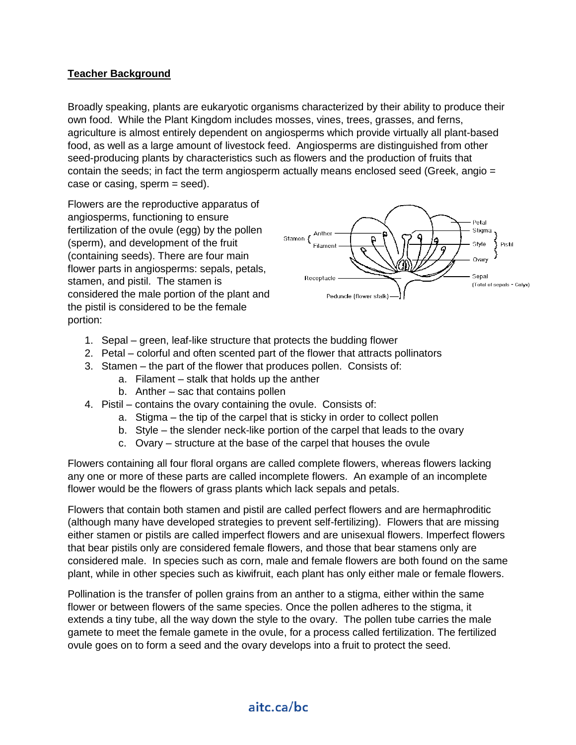## **Teacher Background**

Broadly speaking, plants are eukaryotic organisms characterized by their ability to produce their own food. While the Plant Kingdom includes mosses, vines, trees, grasses, and ferns, agriculture is almost entirely dependent on angiosperms which provide virtually all plant-based food, as well as a large amount of livestock feed. Angiosperms are distinguished from other seed-producing plants by characteristics such as flowers and the production of fruits that contain the seeds; in fact the term angiosperm actually means enclosed seed (Greek, angio = case or casing, sperm = seed).

Flowers are the reproductive apparatus of angiosperms, functioning to ensure fertilization of the ovule (egg) by the pollen (sperm), and development of the fruit (containing seeds). There are four main flower parts in angiosperms: sepals, petals, stamen, and pistil. The stamen is considered the male portion of the plant and the pistil is considered to be the female portion:



- 1. Sepal green, leaf-like structure that protects the budding flower
- 2. Petal colorful and often scented part of the flower that attracts pollinators
- 3. Stamen the part of the flower that produces pollen. Consists of:
	- a. Filament stalk that holds up the anther
	- b. Anther sac that contains pollen
- 4. Pistil contains the ovary containing the ovule. Consists of:
	- a. Stigma the tip of the carpel that is sticky in order to collect pollen
	- b. Style the slender neck-like portion of the carpel that leads to the ovary
	- c. Ovary structure at the base of the carpel that houses the ovule

Flowers containing all four floral organs are called complete flowers, whereas flowers lacking any one or more of these parts are called incomplete flowers. An example of an incomplete flower would be the flowers of grass plants which lack sepals and petals.

Flowers that contain both stamen and pistil are called perfect flowers and are hermaphroditic (although many have developed strategies to prevent self-fertilizing). Flowers that are missing either stamen or pistils are called imperfect flowers and are unisexual flowers. Imperfect flowers that bear pistils only are considered female flowers, and those that bear stamens only are considered male. In species such as corn, male and female flowers are both found on the same plant, while in other species such as kiwifruit, each plant has only either male or female flowers.

Pollination is the transfer of pollen grains from an anther to a stigma, either within the same flower or between flowers of the same species. Once the pollen adheres to the stigma, it extends a tiny tube, all the way down the style to the ovary. The pollen tube carries the male gamete to meet the female gamete in the ovule, for a process called fertilization. The fertilized ovule goes on to form a seed and the ovary develops into a fruit to protect the seed.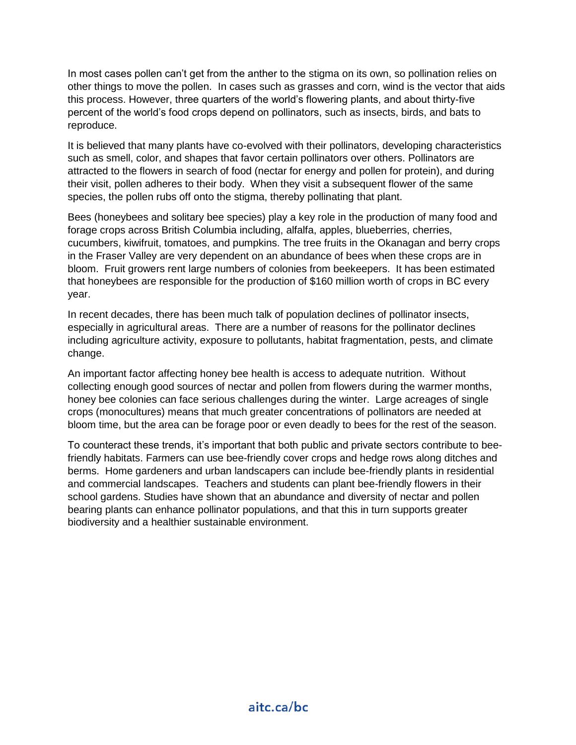In most cases pollen can't get from the anther to the stigma on its own, so pollination relies on other things to move the pollen. In cases such as grasses and corn, wind is the vector that aids this process. However, three quarters of the world's flowering plants, and about thirty-five percent of the world's food crops depend on pollinators, such as insects, birds, and bats to reproduce.

It is believed that many plants have co-evolved with their pollinators, developing characteristics such as smell, color, and shapes that favor certain pollinators over others. Pollinators are attracted to the flowers in search of food (nectar for energy and pollen for protein), and during their visit, pollen adheres to their body. When they visit a subsequent flower of the same species, the pollen rubs off onto the stigma, thereby pollinating that plant.

Bees (honeybees and solitary bee species) play a key role in the production of many food and forage crops across British Columbia including, alfalfa, apples, blueberries, cherries, cucumbers, kiwifruit, tomatoes, and pumpkins. The tree fruits in the Okanagan and berry crops in the Fraser Valley are very dependent on an abundance of bees when these crops are in bloom. Fruit growers rent large numbers of colonies from beekeepers. It has been estimated that honeybees are responsible for the production of \$160 million worth of crops in BC every year.

In recent decades, there has been much talk of population declines of pollinator insects, especially in agricultural areas. There are a number of reasons for the pollinator declines including agriculture activity, exposure to pollutants, habitat fragmentation, pests, and climate change.

An important factor affecting honey bee health is access to adequate nutrition. Without collecting enough good sources of nectar and pollen from flowers during the warmer months, honey bee colonies can face serious challenges during the winter. Large acreages of single crops (monocultures) means that much greater concentrations of pollinators are needed at bloom time, but the area can be forage poor or even deadly to bees for the rest of the season.

To counteract these trends, it's important that both public and private sectors contribute to beefriendly habitats. Farmers can use bee-friendly cover crops and hedge rows along ditches and berms. Home gardeners and urban landscapers can include bee-friendly plants in residential and commercial landscapes. Teachers and students can plant bee-friendly flowers in their school gardens. Studies have shown that an abundance and diversity of nectar and pollen bearing plants can enhance pollinator populations, and that this in turn supports greater biodiversity and a healthier sustainable environment.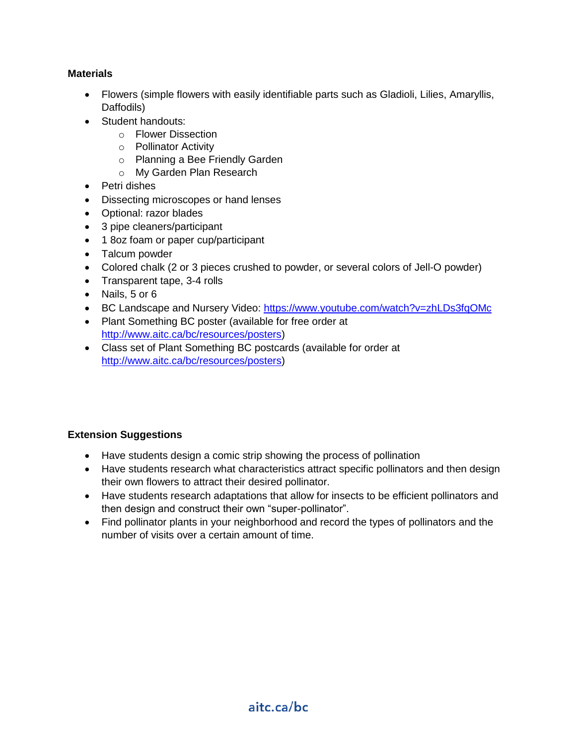#### **Materials**

- Flowers (simple flowers with easily identifiable parts such as Gladioli, Lilies, Amaryllis, Daffodils)
- Student handouts:
	- o Flower Dissection
	- o Pollinator Activity
	- o Planning a Bee Friendly Garden
	- o My Garden Plan Research
- Petri dishes
- Dissecting microscopes or hand lenses
- Optional: razor blades
- 3 pipe cleaners/participant
- 1 8oz foam or paper cup/participant
- Talcum powder
- Colored chalk (2 or 3 pieces crushed to powder, or several colors of Jell-O powder)
- Transparent tape, 3-4 rolls
- Nails, 5 or 6
- BC Landscape and Nursery Video:<https://www.youtube.com/watch?v=zhLDs3fqOMc>
- Plant Something BC poster (available for free order at [http://www.aitc.ca/bc/resources/posters\)](http://www.aitc.ca/bc/resources/posters)
- Class set of Plant Something BC postcards (available for order at [http://www.aitc.ca/bc/resources/posters\)](http://www.aitc.ca/bc/resources/posters)

## **Extension Suggestions**

- Have students design a comic strip showing the process of pollination
- Have students research what characteristics attract specific pollinators and then design their own flowers to attract their desired pollinator.
- Have students research adaptations that allow for insects to be efficient pollinators and then design and construct their own "super-pollinator".
- Find pollinator plants in your neighborhood and record the types of pollinators and the number of visits over a certain amount of time.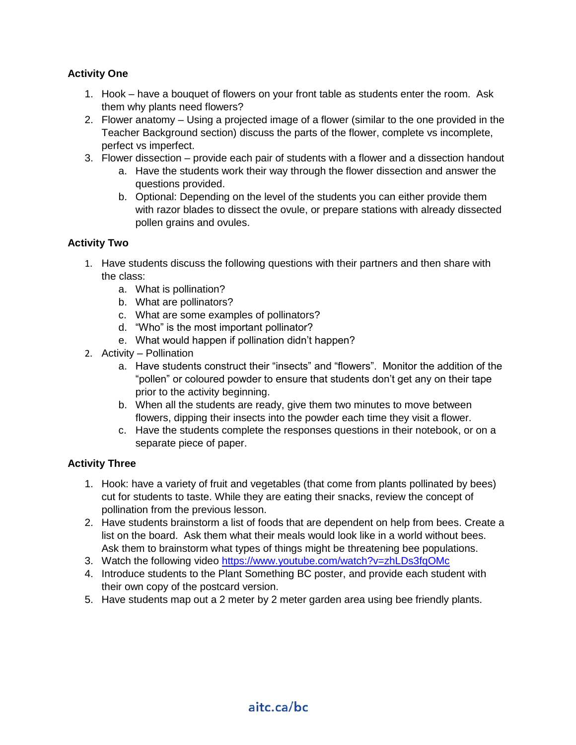## **Activity One**

- 1. Hook have a bouquet of flowers on your front table as students enter the room. Ask them why plants need flowers?
- 2. Flower anatomy Using a projected image of a flower (similar to the one provided in the Teacher Background section) discuss the parts of the flower, complete vs incomplete, perfect vs imperfect.
- 3. Flower dissection provide each pair of students with a flower and a dissection handout
	- a. Have the students work their way through the flower dissection and answer the questions provided.
	- b. Optional: Depending on the level of the students you can either provide them with razor blades to dissect the ovule, or prepare stations with already dissected pollen grains and ovules.

## **Activity Two**

- 1. Have students discuss the following questions with their partners and then share with the class:
	- a. What is pollination?
	- b. What are pollinators?
	- c. What are some examples of pollinators?
	- d. "Who" is the most important pollinator?
	- e. What would happen if pollination didn't happen?
- 2. Activity Pollination
	- a. Have students construct their "insects" and "flowers". Monitor the addition of the "pollen" or coloured powder to ensure that students don't get any on their tape prior to the activity beginning.
	- b. When all the students are ready, give them two minutes to move between flowers, dipping their insects into the powder each time they visit a flower.
	- c. Have the students complete the responses questions in their notebook, or on a separate piece of paper.

#### **Activity Three**

- 1. Hook: have a variety of fruit and vegetables (that come from plants pollinated by bees) cut for students to taste. While they are eating their snacks, review the concept of pollination from the previous lesson.
- 2. Have students brainstorm a list of foods that are dependent on help from bees. Create a list on the board. Ask them what their meals would look like in a world without bees. Ask them to brainstorm what types of things might be threatening bee populations.
- 3. Watch the following video<https://www.youtube.com/watch?v=zhLDs3fqOMc>
- 4. Introduce students to the Plant Something BC poster, and provide each student with their own copy of the postcard version.
- 5. Have students map out a 2 meter by 2 meter garden area using bee friendly plants.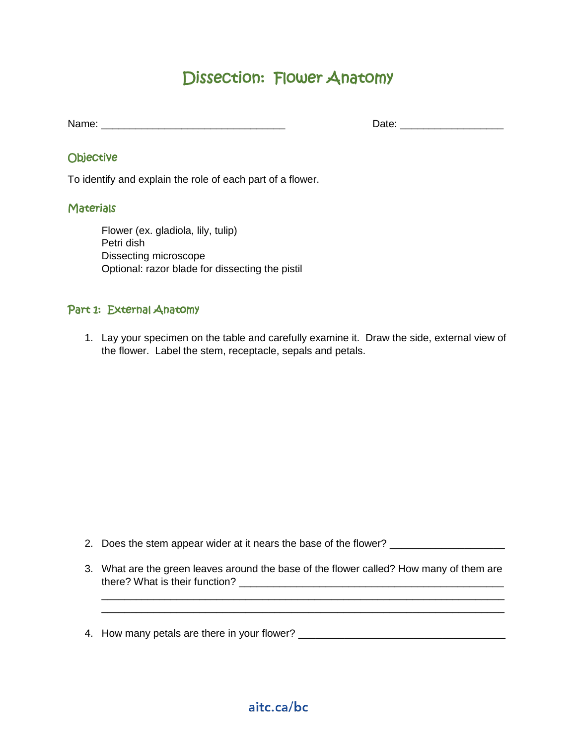## Dissection: Flower Anatomy

Name: \_\_\_\_\_\_\_\_\_\_\_\_\_\_\_\_\_\_\_\_\_\_\_\_\_\_\_\_\_\_\_\_ Date: \_\_\_\_\_\_\_\_\_\_\_\_\_\_\_\_\_\_

## **Objective**

To identify and explain the role of each part of a flower.

## **Materials**

Flower (ex. gladiola, lily, tulip) Petri dish Dissecting microscope Optional: razor blade for dissecting the pistil

## Part 1: External Anatomy

1. Lay your specimen on the table and carefully examine it. Draw the side, external view of the flower. Label the stem, receptacle, sepals and petals.

2. Does the stem appear wider at it nears the base of the flower? \_\_\_\_\_\_\_\_\_\_\_\_\_\_\_

3. What are the green leaves around the base of the flower called? How many of them are there? What is their function? \_\_\_\_\_\_\_\_\_\_\_\_\_\_\_\_\_\_\_\_\_\_\_\_\_\_\_\_\_\_\_\_\_\_\_\_\_\_\_\_\_\_\_\_\_\_

\_\_\_\_\_\_\_\_\_\_\_\_\_\_\_\_\_\_\_\_\_\_\_\_\_\_\_\_\_\_\_\_\_\_\_\_\_\_\_\_\_\_\_\_\_\_\_\_\_\_\_\_\_\_\_\_\_\_\_\_\_\_\_\_\_\_\_\_\_\_ \_\_\_\_\_\_\_\_\_\_\_\_\_\_\_\_\_\_\_\_\_\_\_\_\_\_\_\_\_\_\_\_\_\_\_\_\_\_\_\_\_\_\_\_\_\_\_\_\_\_\_\_\_\_\_\_\_\_\_\_\_\_\_\_\_\_\_\_\_\_

4. How many petals are there in your flower? \_\_\_\_\_\_\_\_\_\_\_\_\_\_\_\_\_\_\_\_\_\_\_\_\_\_\_\_\_\_\_\_\_\_\_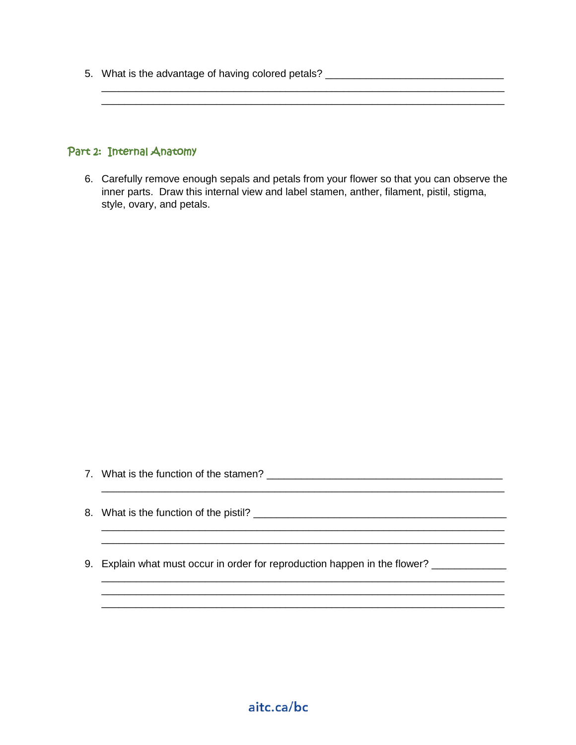5. What is the advantage of having colored petals? \_\_\_\_\_\_\_\_\_\_\_\_\_\_\_\_\_\_\_\_\_\_\_\_\_\_\_\_\_

#### Part 2: Internal Anatomy

6. Carefully remove enough sepals and petals from your flower so that you can observe the inner parts. Draw this internal view and label stamen, anther, filament, pistil, stigma, style, ovary, and petals.

\_\_\_\_\_\_\_\_\_\_\_\_\_\_\_\_\_\_\_\_\_\_\_\_\_\_\_\_\_\_\_\_\_\_\_\_\_\_\_\_\_\_\_\_\_\_\_\_\_\_\_\_\_\_\_\_\_\_\_\_\_\_\_\_\_\_\_\_\_\_

- 7. What is the function of the stamen? \_\_\_\_\_\_\_\_\_\_\_\_\_\_\_\_\_\_\_\_\_\_\_\_\_\_\_\_\_\_\_\_\_\_\_\_\_\_\_\_\_
- 8. What is the function of the pistil?
- 9. Explain what must occur in order for reproduction happen in the flower? \_\_\_\_\_\_\_\_\_\_\_

\_\_\_\_\_\_\_\_\_\_\_\_\_\_\_\_\_\_\_\_\_\_\_\_\_\_\_\_\_\_\_\_\_\_\_\_\_\_\_\_\_\_\_\_\_\_\_\_\_\_\_\_\_\_\_\_\_\_\_\_\_\_\_\_\_\_\_\_\_\_

\_\_\_\_\_\_\_\_\_\_\_\_\_\_\_\_\_\_\_\_\_\_\_\_\_\_\_\_\_\_\_\_\_\_\_\_\_\_\_\_\_\_\_\_\_\_\_\_\_\_\_\_\_\_\_\_\_\_\_\_\_\_\_\_\_\_\_\_\_\_ \_\_\_\_\_\_\_\_\_\_\_\_\_\_\_\_\_\_\_\_\_\_\_\_\_\_\_\_\_\_\_\_\_\_\_\_\_\_\_\_\_\_\_\_\_\_\_\_\_\_\_\_\_\_\_\_\_\_\_\_\_\_\_\_\_\_\_\_\_\_ \_\_\_\_\_\_\_\_\_\_\_\_\_\_\_\_\_\_\_\_\_\_\_\_\_\_\_\_\_\_\_\_\_\_\_\_\_\_\_\_\_\_\_\_\_\_\_\_\_\_\_\_\_\_\_\_\_\_\_\_\_\_\_\_\_\_\_\_\_\_

\_\_\_\_\_\_\_\_\_\_\_\_\_\_\_\_\_\_\_\_\_\_\_\_\_\_\_\_\_\_\_\_\_\_\_\_\_\_\_\_\_\_\_\_\_\_\_\_\_\_\_\_\_\_\_\_\_\_\_\_\_\_\_\_\_\_\_\_\_\_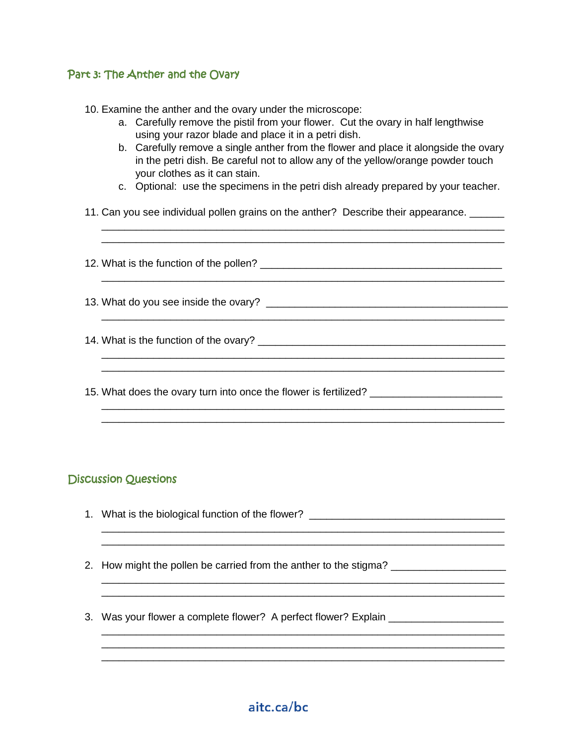## Part 3: The Anther and the Ovary

- 10. Examine the anther and the ovary under the microscope:
	- a. Carefully remove the pistil from your flower. Cut the ovary in half lengthwise using your razor blade and place it in a petri dish.
	- b. Carefully remove a single anther from the flower and place it alongside the ovary in the petri dish. Be careful not to allow any of the yellow/orange powder touch your clothes as it can stain.
	- c. Optional: use the specimens in the petri dish already prepared by your teacher.

\_\_\_\_\_\_\_\_\_\_\_\_\_\_\_\_\_\_\_\_\_\_\_\_\_\_\_\_\_\_\_\_\_\_\_\_\_\_\_\_\_\_\_\_\_\_\_\_\_\_\_\_\_\_\_\_\_\_\_\_\_\_\_\_\_\_\_\_\_\_ \_\_\_\_\_\_\_\_\_\_\_\_\_\_\_\_\_\_\_\_\_\_\_\_\_\_\_\_\_\_\_\_\_\_\_\_\_\_\_\_\_\_\_\_\_\_\_\_\_\_\_\_\_\_\_\_\_\_\_\_\_\_\_\_\_\_\_\_\_\_

\_\_\_\_\_\_\_\_\_\_\_\_\_\_\_\_\_\_\_\_\_\_\_\_\_\_\_\_\_\_\_\_\_\_\_\_\_\_\_\_\_\_\_\_\_\_\_\_\_\_\_\_\_\_\_\_\_\_\_\_\_\_\_\_\_\_\_\_\_\_

\_\_\_\_\_\_\_\_\_\_\_\_\_\_\_\_\_\_\_\_\_\_\_\_\_\_\_\_\_\_\_\_\_\_\_\_\_\_\_\_\_\_\_\_\_\_\_\_\_\_\_\_\_\_\_\_\_\_\_\_\_\_\_\_\_\_\_\_\_\_

\_\_\_\_\_\_\_\_\_\_\_\_\_\_\_\_\_\_\_\_\_\_\_\_\_\_\_\_\_\_\_\_\_\_\_\_\_\_\_\_\_\_\_\_\_\_\_\_\_\_\_\_\_\_\_\_\_\_\_\_\_\_\_\_\_\_\_\_\_\_ \_\_\_\_\_\_\_\_\_\_\_\_\_\_\_\_\_\_\_\_\_\_\_\_\_\_\_\_\_\_\_\_\_\_\_\_\_\_\_\_\_\_\_\_\_\_\_\_\_\_\_\_\_\_\_\_\_\_\_\_\_\_\_\_\_\_\_\_\_\_

\_\_\_\_\_\_\_\_\_\_\_\_\_\_\_\_\_\_\_\_\_\_\_\_\_\_\_\_\_\_\_\_\_\_\_\_\_\_\_\_\_\_\_\_\_\_\_\_\_\_\_\_\_\_\_\_\_\_\_\_\_\_\_\_\_\_\_\_\_\_

11. Can you see individual pollen grains on the anther? Describe their appearance. \_\_\_\_\_

12. What is the function of the pollen? \_\_\_\_\_\_\_\_\_\_\_\_\_\_\_\_\_\_\_\_\_\_\_\_\_\_\_\_\_\_\_\_\_\_\_\_\_\_\_\_\_\_

13. What do you see inside the ovary? \_\_\_\_\_\_\_\_\_\_\_\_\_\_\_\_\_\_\_\_\_\_\_\_\_\_\_\_\_\_\_\_\_\_\_\_\_\_\_\_\_\_

14. What is the function of the ovary? \_\_\_\_\_\_\_\_\_\_\_\_\_\_\_\_\_\_\_\_\_\_\_\_\_\_\_\_\_\_\_\_\_\_\_\_\_\_\_\_\_\_\_

15. What does the ovary turn into once the flower is fertilized? \_\_\_\_\_\_\_\_\_\_\_\_\_\_\_

## Discussion Questions

1. What is the biological function of the flower? \_\_\_\_\_\_\_\_\_\_\_\_\_\_\_\_\_\_\_\_\_\_\_\_\_\_\_\_\_\_

\_\_\_\_\_\_\_\_\_\_\_\_\_\_\_\_\_\_\_\_\_\_\_\_\_\_\_\_\_\_\_\_\_\_\_\_\_\_\_\_\_\_\_\_\_\_\_\_\_\_\_\_\_\_\_\_\_\_\_\_\_\_\_\_\_\_\_\_\_\_ \_\_\_\_\_\_\_\_\_\_\_\_\_\_\_\_\_\_\_\_\_\_\_\_\_\_\_\_\_\_\_\_\_\_\_\_\_\_\_\_\_\_\_\_\_\_\_\_\_\_\_\_\_\_\_\_\_\_\_\_\_\_\_\_\_\_\_\_\_\_

\_\_\_\_\_\_\_\_\_\_\_\_\_\_\_\_\_\_\_\_\_\_\_\_\_\_\_\_\_\_\_\_\_\_\_\_\_\_\_\_\_\_\_\_\_\_\_\_\_\_\_\_\_\_\_\_\_\_\_\_\_\_\_\_\_\_\_\_\_\_ \_\_\_\_\_\_\_\_\_\_\_\_\_\_\_\_\_\_\_\_\_\_\_\_\_\_\_\_\_\_\_\_\_\_\_\_\_\_\_\_\_\_\_\_\_\_\_\_\_\_\_\_\_\_\_\_\_\_\_\_\_\_\_\_\_\_\_\_\_\_

\_\_\_\_\_\_\_\_\_\_\_\_\_\_\_\_\_\_\_\_\_\_\_\_\_\_\_\_\_\_\_\_\_\_\_\_\_\_\_\_\_\_\_\_\_\_\_\_\_\_\_\_\_\_\_\_\_\_\_\_\_\_\_\_\_\_\_\_\_\_ \_\_\_\_\_\_\_\_\_\_\_\_\_\_\_\_\_\_\_\_\_\_\_\_\_\_\_\_\_\_\_\_\_\_\_\_\_\_\_\_\_\_\_\_\_\_\_\_\_\_\_\_\_\_\_\_\_\_\_\_\_\_\_\_\_\_\_\_\_\_ \_\_\_\_\_\_\_\_\_\_\_\_\_\_\_\_\_\_\_\_\_\_\_\_\_\_\_\_\_\_\_\_\_\_\_\_\_\_\_\_\_\_\_\_\_\_\_\_\_\_\_\_\_\_\_\_\_\_\_\_\_\_\_\_\_\_\_\_\_\_

- 2. How might the pollen be carried from the anther to the stigma?
- 3. Was your flower a complete flower? A perfect flower? Explain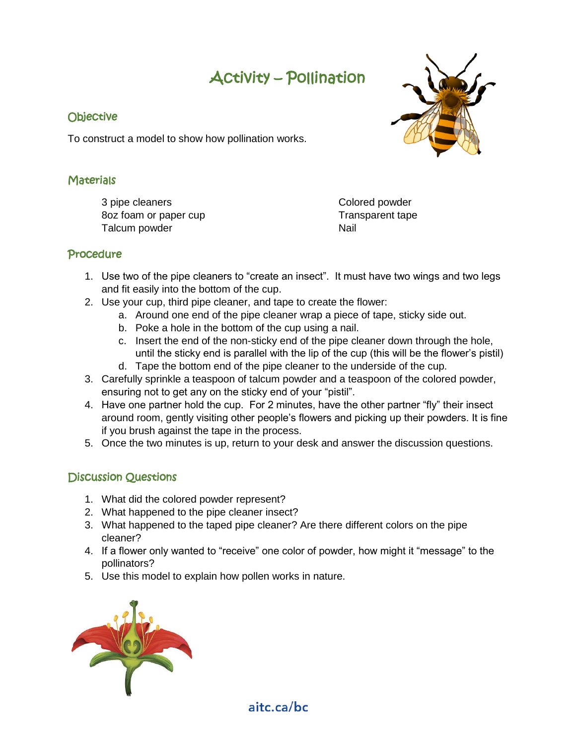# Activity – Pollination

## **Objective**

To construct a model to show how pollination works.

## **Materials**

3 pipe cleaners 8oz foam or paper cup Talcum powder

Colored powder Transparent tape Nail

## Procedure

- 1. Use two of the pipe cleaners to "create an insect". It must have two wings and two legs and fit easily into the bottom of the cup.
- 2. Use your cup, third pipe cleaner, and tape to create the flower:
	- a. Around one end of the pipe cleaner wrap a piece of tape, sticky side out.
	- b. Poke a hole in the bottom of the cup using a nail.
	- c. Insert the end of the non-sticky end of the pipe cleaner down through the hole, until the sticky end is parallel with the lip of the cup (this will be the flower's pistil)
	- d. Tape the bottom end of the pipe cleaner to the underside of the cup.
- 3. Carefully sprinkle a teaspoon of talcum powder and a teaspoon of the colored powder, ensuring not to get any on the sticky end of your "pistil".
- 4. Have one partner hold the cup. For 2 minutes, have the other partner "fly" their insect around room, gently visiting other people's flowers and picking up their powders. It is fine if you brush against the tape in the process.
- 5. Once the two minutes is up, return to your desk and answer the discussion questions.

## Discussion Questions

- 1. What did the colored powder represent?
- 2. What happened to the pipe cleaner insect?
- 3. What happened to the taped pipe cleaner? Are there different colors on the pipe cleaner?
- 4. If a flower only wanted to "receive" one color of powder, how might it "message" to the pollinators?
- 5. Use this model to explain how pollen works in nature.



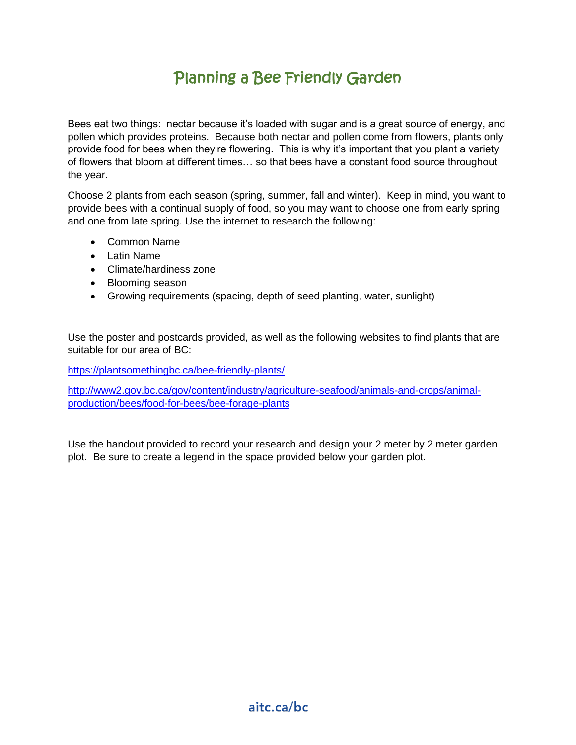## Planning a Bee Friendly Garden

Bees eat two things: nectar because it's loaded with sugar and is a great source of energy, and pollen which provides proteins. Because both nectar and pollen come from flowers, plants only provide food for bees when they're flowering. This is why it's important that you plant a variety of flowers that bloom at different times… so that bees have a constant food source throughout the year.

Choose 2 plants from each season (spring, summer, fall and winter). Keep in mind, you want to provide bees with a continual supply of food, so you may want to choose one from early spring and one from late spring. Use the internet to research the following:

- Common Name
- Latin Name
- Climate/hardiness zone
- Blooming season
- Growing requirements (spacing, depth of seed planting, water, sunlight)

Use the poster and postcards provided, as well as the following websites to find plants that are suitable for our area of BC:

<https://plantsomethingbc.ca/bee-friendly-plants/>

[http://www2.gov.bc.ca/gov/content/industry/agriculture-seafood/animals-and-crops/animal](http://www2.gov.bc.ca/gov/content/industry/agriculture-seafood/animals-and-crops/animal-production/bees/food-for-bees/bee-forage-plants)[production/bees/food-for-bees/bee-forage-plants](http://www2.gov.bc.ca/gov/content/industry/agriculture-seafood/animals-and-crops/animal-production/bees/food-for-bees/bee-forage-plants)

Use the handout provided to record your research and design your 2 meter by 2 meter garden plot. Be sure to create a legend in the space provided below your garden plot.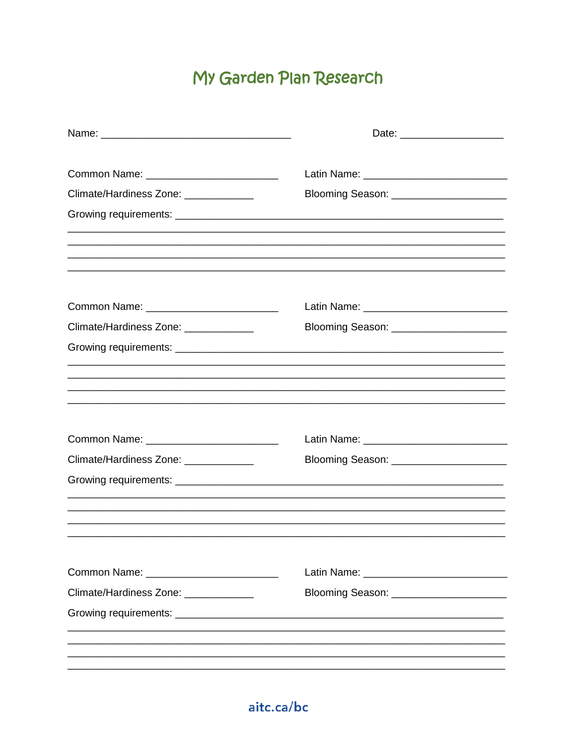# My Garden Plan Research

| Common Name: ____________________________                                                                           |                                                                                   |
|---------------------------------------------------------------------------------------------------------------------|-----------------------------------------------------------------------------------|
| Climate/Hardiness Zone: _____________                                                                               |                                                                                   |
|                                                                                                                     |                                                                                   |
|                                                                                                                     | ,我们也不能在这里的,我们也不能在这里的人,我们也不能在这里的人,我们也不能在这里的人,我们也不能在这里的人,我们也不能在这里的人,我们也不能在这里的人,我们也不 |
|                                                                                                                     |                                                                                   |
|                                                                                                                     |                                                                                   |
| Common Name: _____________________________                                                                          |                                                                                   |
| Climate/Hardiness Zone: _____________                                                                               |                                                                                   |
|                                                                                                                     |                                                                                   |
|                                                                                                                     |                                                                                   |
|                                                                                                                     |                                                                                   |
|                                                                                                                     |                                                                                   |
|                                                                                                                     |                                                                                   |
| Common Name: _____________________________                                                                          |                                                                                   |
| Climate/Hardiness Zone: _____________                                                                               |                                                                                   |
|                                                                                                                     |                                                                                   |
|                                                                                                                     |                                                                                   |
|                                                                                                                     |                                                                                   |
|                                                                                                                     |                                                                                   |
| Common Name: Van American American American American American American American American American American American |                                                                                   |
| Climate/Hardiness Zone: _____________                                                                               |                                                                                   |
|                                                                                                                     |                                                                                   |
|                                                                                                                     |                                                                                   |
|                                                                                                                     |                                                                                   |
|                                                                                                                     |                                                                                   |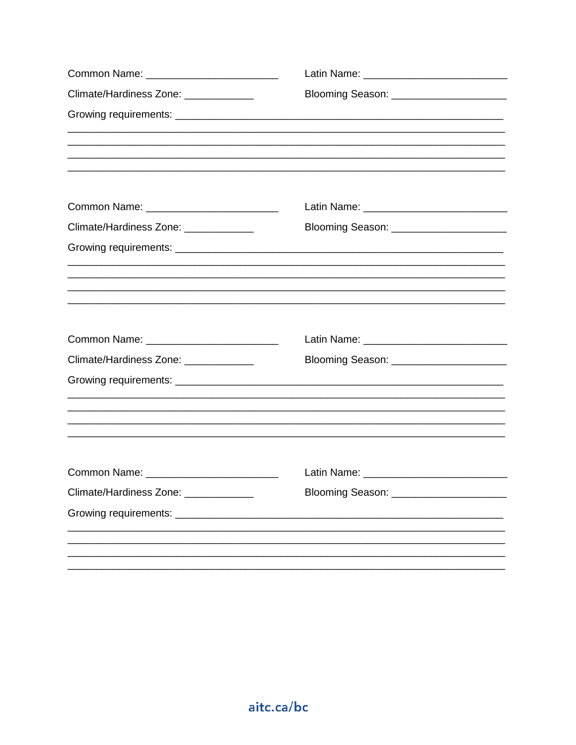| Climate/Hardiness Zone: _____________ | Blooming Season: _________________________                                                                            |  |
|---------------------------------------|-----------------------------------------------------------------------------------------------------------------------|--|
|                                       | <u> 1989 - Johann Stoff, deutscher Stoff, der Stoff, der Stoff, der Stoff, der Stoff, der Stoff, der Stoff, der S</u> |  |
|                                       |                                                                                                                       |  |
|                                       |                                                                                                                       |  |
| Climate/Hardiness Zone: _____________ |                                                                                                                       |  |
|                                       | <u> 1989 - Johann Barn, amerikan bernama di sebagai bernama di sebagai bernama di sebagai bernama di sebagai bern</u> |  |
|                                       |                                                                                                                       |  |
|                                       |                                                                                                                       |  |
| Climate/Hardiness Zone: _____________ | Blooming Season: ________________________                                                                             |  |
|                                       |                                                                                                                       |  |
|                                       | ,我们也不能在这里的,我们也不能在这里的,我们也不能不能不能不能不能不能不能不能不能不能不能不能不能不能。""我们的,我们也不能不能不能不能不能不能不能不能不能                                      |  |
|                                       |                                                                                                                       |  |
| Climate/Hardiness Zone: _____________ |                                                                                                                       |  |
|                                       |                                                                                                                       |  |
|                                       |                                                                                                                       |  |
|                                       |                                                                                                                       |  |